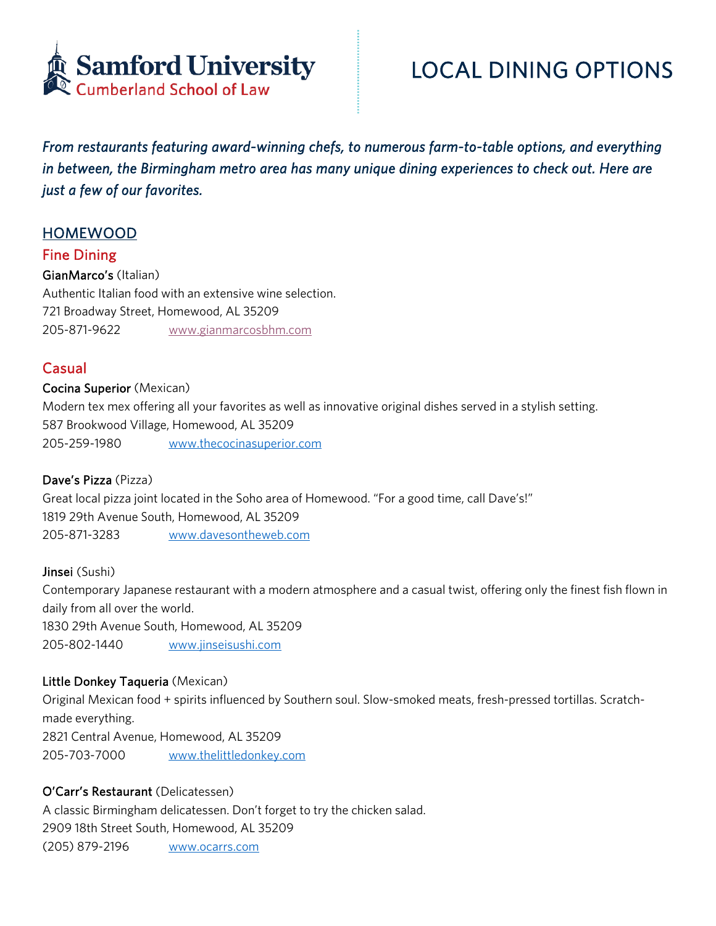

*From restaurants featuring award-winning chefs, to numerous farm-to-table options, and everything in between, the Birmingham metro area has many unique dining experiences to check out. Here are just a few of our favorites.* 

# HOMEWOOD

# Fine Dining

GianMarco's (Italian) Authentic Italian food with an extensive wine selection. 721 Broadway Street, Homewood, AL 35209 205-871-9622 www.gianmarcosbhm.com

# **Casual**

#### Cocina Superior (Mexican)

Modern tex mex offering all your favorites as well as innovative original dishes served in a stylish setting. 587 Brookwood Village, Homewood, AL 35209 205-259-1980 www.thecocinasuperior.com

# Dave's Pizza (Pizza)

Great local pizza joint located in the Soho area of Homewood. "For a good time, call Dave's!" 1819 29th Avenue South, Homewood, AL 35209 205-871-3283 www.davesontheweb.com

Jinsei (Sushi) Contemporary Japanese restaurant with a modern atmosphere and a casual twist, offering only the finest fish flown in daily from all over the world. 1830 29th Avenue South, Homewood, AL 35209 205-802-1440 www.jinseisushi.com

# Little Donkey Taqueria (Mexican)

Original Mexican food + spirits influenced by Southern soul. Slow-smoked meats, fresh-pressed tortillas. Scratchmade everything. 2821 Central Avenue, Homewood, AL 35209 205-703-7000 www.thelittledonkey.com

# O'Carr's Restaurant (Delicatessen)

A classic Birmingham delicatessen. Don't forget to try the chicken salad. 2909 18th Street South, Homewood, AL 35209 (205) 879-2196 www.ocarrs.com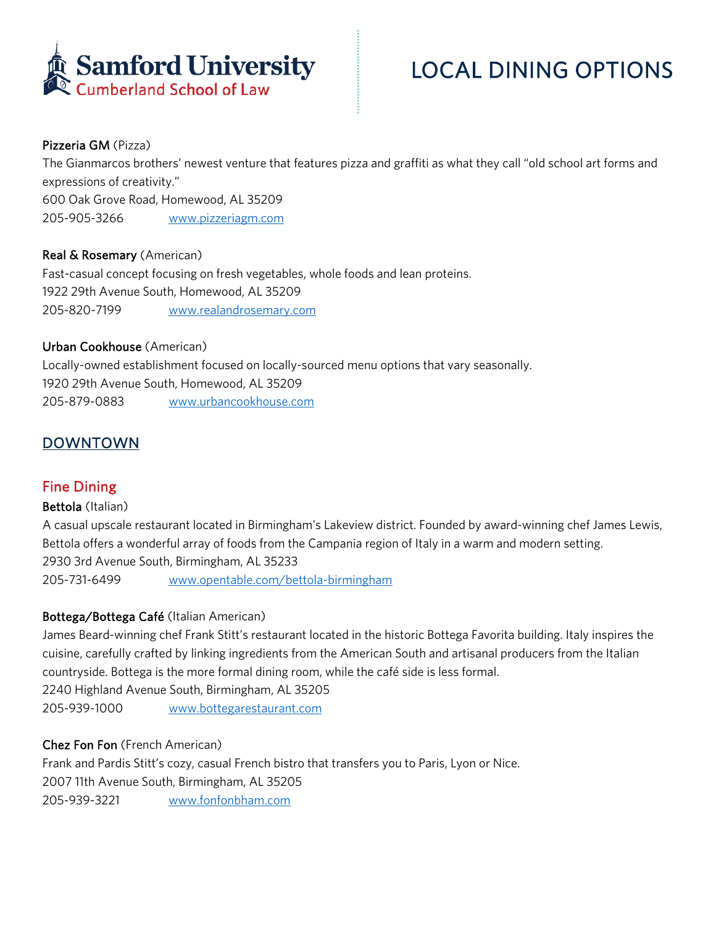

# LOCAL DINING OPTIONS

# Pizzeria GM (Pizza)

The Gianmarcos brothers' newest venture that features pizza and graffiti as what they call "old school art forms and expressions of creativity." 600 Oak Grove Road, Homewood, AL 35209 205-905-3266 www.pizzeriagm.com

# Real & Rosemary (American)

Fast-casual concept focusing on fresh vegetables, whole foods and lean proteins. 1922 29th Avenue South, Homewood, AL 35209 205-820-7199 www.realandrosemary.com

#### Urban Cookhouse (American)

Locally-owned establishment focused on locally-sourced menu options that vary seasonally. 1920 29th Avenue South, Homewood, AL 35209 205-879-0883 www.urbancookhouse.com

# DOWNTOWN

# Fine Dining

# Bettola (Italian)

A casual upscale restaurant located in Birmingham's Lakeview district. Founded by award-winning chef James Lewis, Bettola offers a wonderful array of foods from the Campania region of Italy in a warm and modern setting. 2930 3rd Avenue South, Birmingham, AL 35233 205-731-6499 www.opentable.com/bettola-birmingham

# Bottega/Bottega Café (Italian American)

James Beard-winning chef Frank Stitt's restaurant located in the historic Bottega Favorita building. Italy inspires the cuisine, carefully crafted by linking ingredients from the American South and artisanal producers from the Italian countryside. Bottega is the more formal dining room, while the café side is less formal. 2240 Highland Avenue South, Birmingham, AL 35205

205-939-1000 www.bottegarestaurant.com

# Chez Fon Fon (French American)

Frank and Pardis Stitt's cozy, casual French bistro that transfers you to Paris, Lyon or Nice. 2007 11th Avenue South, Birmingham, AL 35205 205-939-3221 www.fonfonbham.com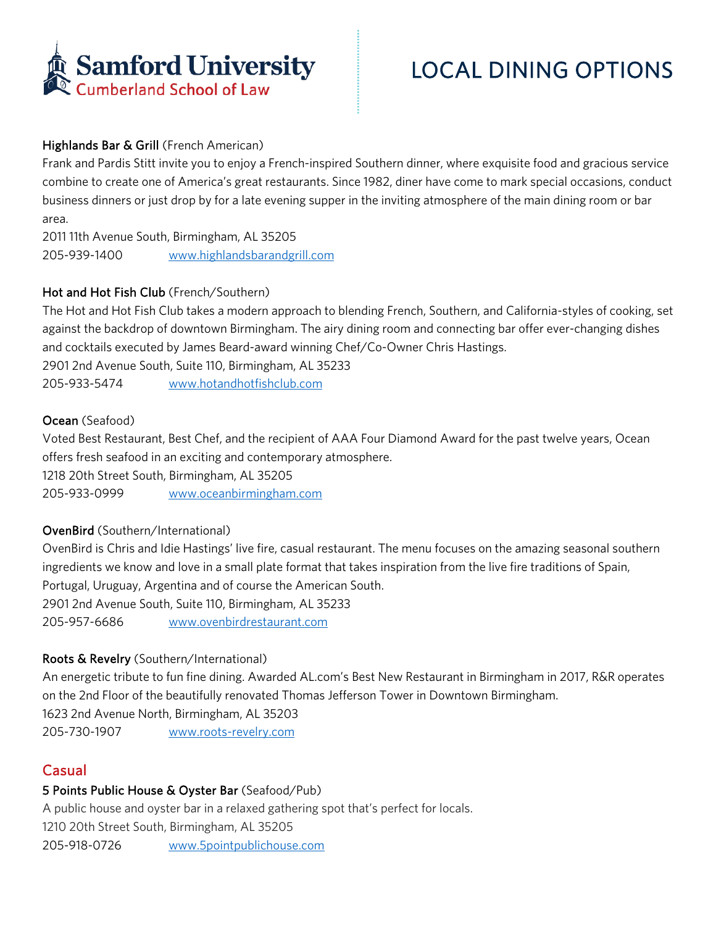

# Highlands Bar & Grill (French American)

Frank and Pardis Stitt invite you to enjoy a French-inspired Southern dinner, where exquisite food and gracious service combine to create one of America's great restaurants. Since 1982, diner have come to mark special occasions, conduct business dinners or just drop by for a late evening supper in the inviting atmosphere of the main dining room or bar area.

2011 11th Avenue South, Birmingham, AL 35205 205-939-1400 www.highlandsbarandgrill.com

# Hot and Hot Fish Club (French/Southern)

The Hot and Hot Fish Club takes a modern approach to blending French, Southern, and California-styles of cooking, set against the backdrop of downtown Birmingham. The airy dining room and connecting bar offer ever-changing dishes and cocktails executed by James Beard-award winning Chef/Co-Owner Chris Hastings.

2901 2nd Avenue South, Suite 110, Birmingham, AL 35233

205-933-5474 www.hotandhotfishclub.com

#### Ocean (Seafood)

Voted Best Restaurant, Best Chef, and the recipient of AAA Four Diamond Award for the past twelve years, Ocean offers fresh seafood in an exciting and contemporary atmosphere.

1218 20th Street South, Birmingham, AL 35205

205-933-0999 www.oceanbirmingham.com

# OvenBird (Southern/International)

OvenBird is Chris and Idie Hastings' live fire, casual restaurant. The menu focuses on the amazing seasonal southern ingredients we know and love in a small plate format that takes inspiration from the live fire traditions of Spain, Portugal, Uruguay, Argentina and of course the American South. 2901 2nd Avenue South, Suite 110, Birmingham, AL 35233 205-957-6686 www.ovenbirdrestaurant.com

# Roots & Revelry (Southern/International)

An energetic tribute to fun fine dining. Awarded AL.com's Best New Restaurant in Birmingham in 2017, R&R operates on the 2nd Floor of the beautifully renovated Thomas Jefferson Tower in Downtown Birmingham. 1623 2nd Avenue North, Birmingham, AL 35203

205-730-1907 www.roots-revelry.com

# **Casual**

# 5 Points Public House & Oyster Bar (Seafood/Pub)

A public house and oyster bar in a relaxed gathering spot that's perfect for locals.

1210 20th Street South, Birmingham, AL 35205

205-918-0726 www.5pointpublichouse.com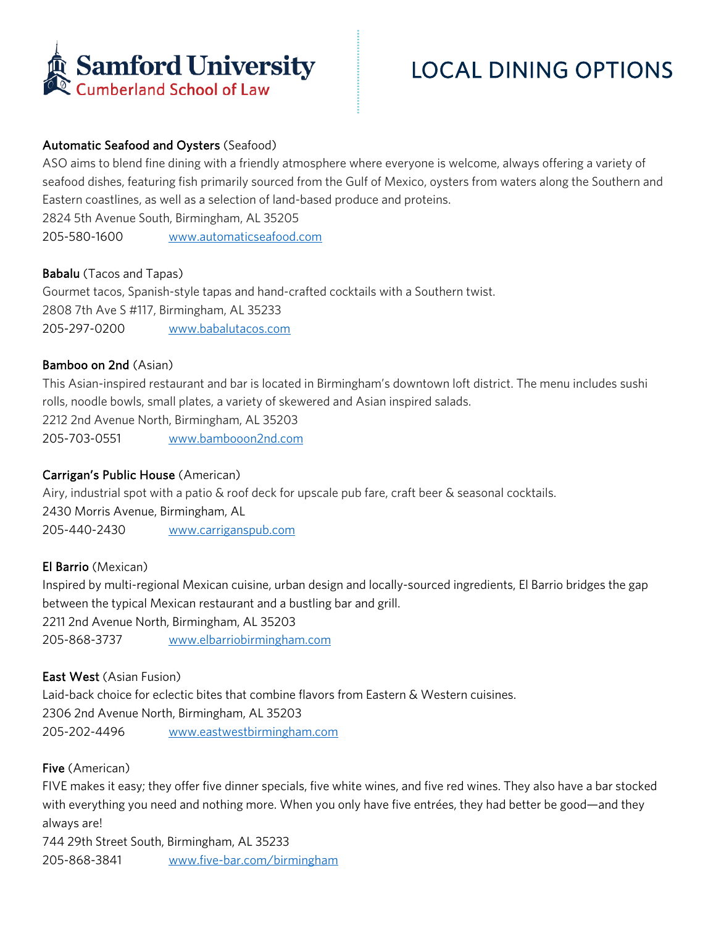

# Automatic Seafood and Oysters (Seafood)

ASO aims to blend fine dining with a friendly atmosphere where everyone is welcome, always offering a variety of seafood dishes, featuring fish primarily sourced from the Gulf of Mexico, oysters from waters along the Southern and Eastern coastlines, as well as a selection of land-based produce and proteins.

2824 5th Avenue South, Birmingham, AL 35205

205-580-1600 www.automaticseafood.com

#### Babalu (Tacos and Tapas)

Gourmet tacos, Spanish-style tapas and hand-crafted cocktails with a Southern twist. 2808 7th Ave S #117, Birmingham, AL 35233 205-297-0200 www.babalutacos.com

#### Bamboo on 2nd (Asian)

This Asian-inspired restaurant and bar is located in Birmingham's downtown loft district. The menu includes sushi rolls, noodle bowls, small plates, a variety of skewered and Asian inspired salads.

2212 2nd Avenue North, Birmingham, AL 35203

205-703-0551 www.bambooon2nd.com

# Carrigan's Public House (American)

Airy, industrial spot with a patio & roof deck for upscale pub fare, craft beer & seasonal cocktails.

2430 Morris Avenue, Birmingham, AL

205-440-2430 www.carriganspub.com

# El Barrio (Mexican)

Inspired by multi-regional Mexican cuisine, urban design and locally-sourced ingredients, El Barrio bridges the gap between the typical Mexican restaurant and a bustling bar and grill.

2211 2nd Avenue North, Birmingham, AL 35203 205-868-3737 www.elbarriobirmingham.com

# East West (Asian Fusion)

Laid-back choice for eclectic bites that combine flavors from Eastern & Western cuisines. 2306 2nd Avenue North, Birmingham, AL 35203 205-202-4496 www.eastwestbirmingham.com

#### Five (American)

FIVE makes it easy; they offer five dinner specials, five white wines, and five red wines. They also have a bar stocked with everything you need and nothing more. When you only have five entrées, they had better be good—and they always are!

744 29th Street South, Birmingham, AL 35233 205-868-3841 www.five-bar.com/birmingham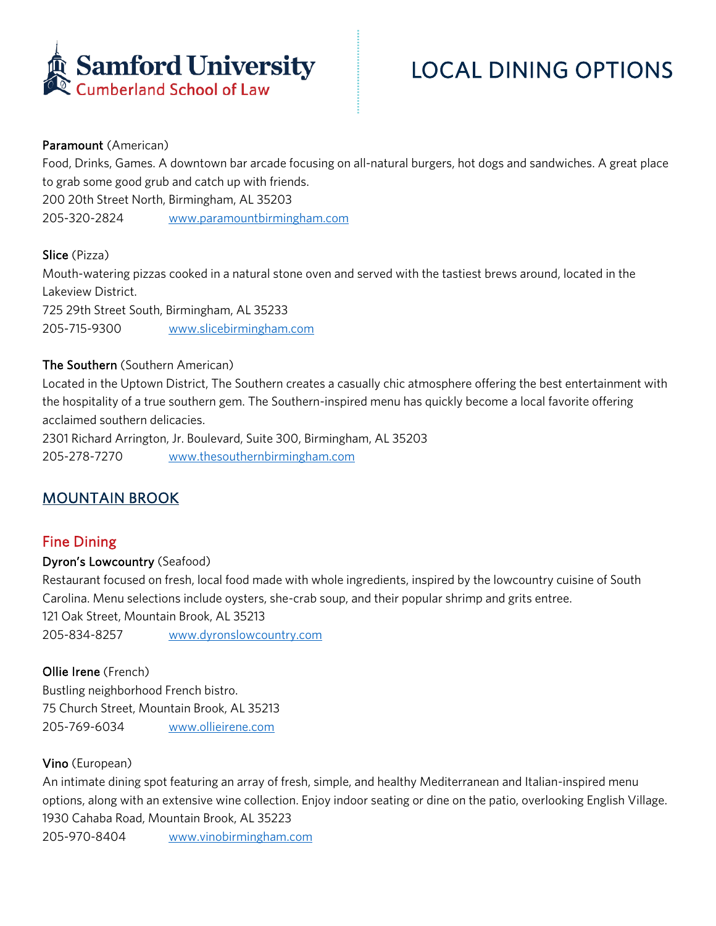

# LOCAL DINING OPTIONS

#### Paramount (American)

Food, Drinks, Games. A downtown bar arcade focusing on all-natural burgers, hot dogs and sandwiches. A great place to grab some good grub and catch up with friends. 200 20th Street North, Birmingham, AL 35203 205-320-2824 www.paramountbirmingham.com

#### Slice (Pizza)

Mouth-watering pizzas cooked in a natural stone oven and served with the tastiest brews around, located in the Lakeview District. 725 29th Street South, Birmingham, AL 35233 205-715-9300 www.slicebirmingham.com

#### The Southern (Southern American)

Located in the Uptown District, The Southern creates a casually chic atmosphere offering the best entertainment with the hospitality of a true southern gem. The Southern-inspired menu has quickly become a local favorite offering acclaimed southern delicacies.

2301 Richard Arrington, Jr. Boulevard, Suite 300, Birmingham, AL 35203 205-278-7270 www.thesouthernbirmingham.com

# MOUNTAIN BROOK

# Fine Dining

#### Dyron's Lowcountry (Seafood)

Restaurant focused on fresh, local food made with whole ingredients, inspired by the lowcountry cuisine of South Carolina. Menu selections include oysters, she-crab soup, and their popular shrimp and grits entree. 121 Oak Street, Mountain Brook, AL 35213 205-834-8257 www.dyronslowcountry.com

# Ollie Irene (French)

Bustling neighborhood French bistro. 75 Church Street, Mountain Brook, AL 35213 205-769-6034 www.ollieirene.com

# Vino (European)

An intimate dining spot featuring an array of fresh, simple, and healthy Mediterranean and Italian-inspired menu options, along with an extensive wine collection. Enjoy indoor seating or dine on the patio, overlooking English Village. 1930 Cahaba Road, Mountain Brook, AL 35223

205-970-8404 www.vinobirmingham.com